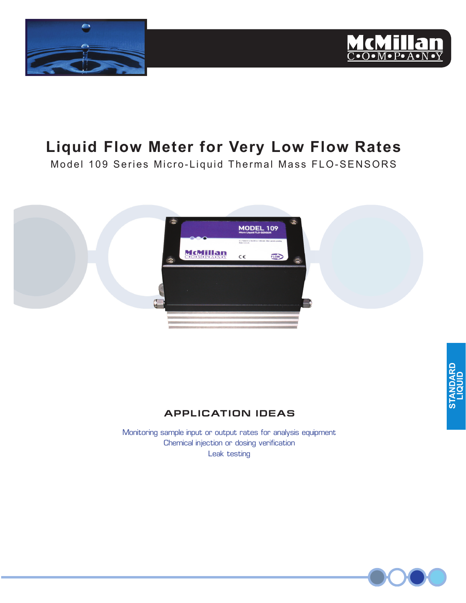



# **Liquid Flow Meter for Very Low Flow Rates**

Model 109 Series Micro-Liquid Thermal Mass FLO-SENSORS



### **APPL ICAT ION IDEAS**

Monitoring sample input or output rates for analysis equipment Chemical injection or dosing verification Leak testing

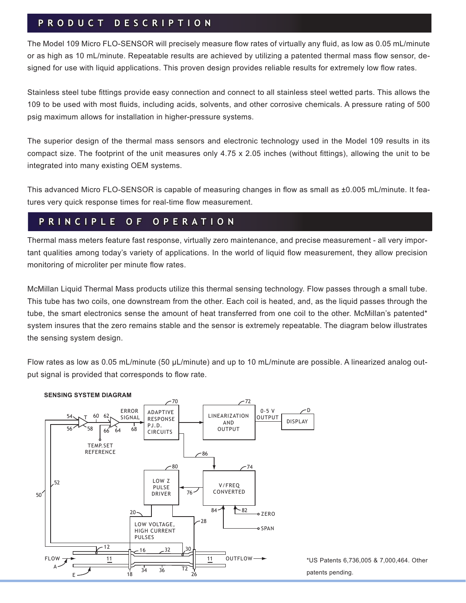### **P R O D U C T D E S C R I P T I O N**

The Model 109 Micro FLO-SENSOR will precisely measure flow rates of virtually any fluid, as low as 0.05 mL/minute or as high as 10 mL/minute. Repeatable results are achieved by utilizing a patented thermal mass flow sensor, designed for use with liquid applications. This proven design provides reliable results for extremely low flow rates.

Stainless steel tube fittings provide easy connection and connect to all stainless steel wetted parts. This allows the 109 to be used with most fluids, including acids, solvents, and other corrosive chemicals. A pressure rating of 500 psig maximum allows for installation in higher-pressure systems.

The superior design of the thermal mass sensors and electronic technology used in the Model 109 results in its compact size. The footprint of the unit measures only 4.75 x 2.05 inches (without fittings), allowing the unit to be integrated into many existing OEM systems.

This advanced Micro FLO-SENSOR is capable of measuring changes in flow as small as ±0.005 mL/minute. It features very quick response times for real-time flow measurement.

### **P R I N C I P L E O F O P E R A T I O N**

Thermal mass meters feature fast response, virtually zero maintenance, and precise measurement - all very important qualities among today's variety of applications. In the world of liquid flow measurement, they allow precision monitoring of microliter per minute flow rates.

McMillan Liquid Thermal Mass products utilize this thermal sensing technology. Flow passes through a small tube. This tube has two coils, one downstream from the other. Each coil is heated, and, as the liquid passes through the tube, the smart electronics sense the amount of heat transferred from one coil to the other. McMillan's patented\* system insures that the zero remains stable and the sensor is extremely repeatable. The diagram below illustrates the sensing system design.

Flow rates as low as 0.05 mL/minute (50 μL/minute) and up to 10 mL/minute are possible. A linearized analog output signal is provided that corresponds to flow rate.

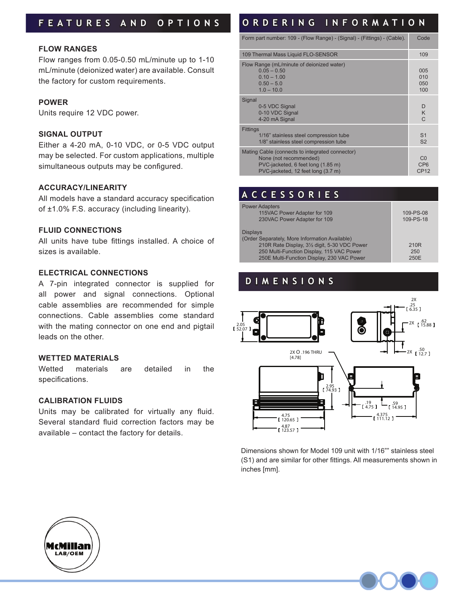## **F E A T U R E S A N D O P T I O N S**

#### **FLOW RANGES**

Flow ranges from 0.05-0.50 mL/minute up to 1-10 mL/minute (deionized water) are available. Consult the factory for custom requirements.

#### **POWER**

Units require 12 VDC power.

#### **SIGNAL OUTPUT**

Either a 4-20 mA, 0-10 VDC, or 0-5 VDC output may be selected. For custom applications, multiple simultaneous outputs may be configured.

#### **ACCURACY/LINEARITY**

All models have a standard accuracy specification of ±1.0% F.S. accuracy (including linearity).

#### **FLUID CONNECTIONS**

All units have tube fittings installed. A choice of sizes is available.

#### **ELECTRICAL CONNECTIONS**

A 7-pin integrated connector is supplied for all power and signal connections. Optional cable assemblies are recommended for simple connections. Cable assemblies come standard with the mating connector on one end and pigtail leads on the other.

#### **WETTED MATERIALS**

Wetted materials are detailed in the specifications.

#### **CALIBRATION FLUIDS**

Units may be calibrated for virtually any fluid. Several standard fluid correction factors may be available – contact the factory for details.

# **O R D E R I N G I N F O R M A T I O N**

| Form part number: 109 - (Flow Range) - (Signal) - (Fittings) - (Cable).                                                                               | Code                                 |
|-------------------------------------------------------------------------------------------------------------------------------------------------------|--------------------------------------|
| 109 Thermal Mass Liquid FLO-SENSOR                                                                                                                    |                                      |
| Flow Range (mL/minute of deionized water)<br>$0.05 - 0.50$<br>$0.10 - 1.00$<br>$0.50 - 5.0$<br>$1.0 - 10.0$                                           | 005<br>010<br>050<br>100             |
| Signal<br>0-5 VDC Signal<br>0-10 VDC Signal<br>4-20 mA Signal                                                                                         | D<br>K<br>C                          |
| <b>Fittings</b><br>1/16" stainless steel compression tube<br>1/8" stainless steel compression tube                                                    | S <sub>1</sub><br>S <sub>2</sub>     |
| Mating Cable (connects to integrated connector)<br>None (not recommended)<br>PVC-jacketed, 6 feet long (1.85 m)<br>PVC-jacketed, 12 feet long (3.7 m) | CO<br>CP <sub>6</sub><br><b>CP12</b> |

### **A C C E S S O R I E S**

| <b>Power Adapters</b><br>115VAC Power Adapter for 109 | 109-PS-08        |
|-------------------------------------------------------|------------------|
|                                                       |                  |
| 230VAC Power Adapter for 109                          | 109-PS-18        |
| <b>Displays</b>                                       |                  |
| (Order Separately, More Information Available)        |                  |
| 210R Rate Display, 31/2 digit, 5-30 VDC Power         | 210 <sub>R</sub> |
| 250 Multi-Function Display, 115 VAC Power             | 250              |
| 250E Multi-Function Display, 230 VAC Power            | 250E             |

### **D I M E N S I O N S**



Dimensions shown for Model 109 unit with 1/16"" stainless steel (S1) and are similar for other fittings. All measurements shown in inches [mm].